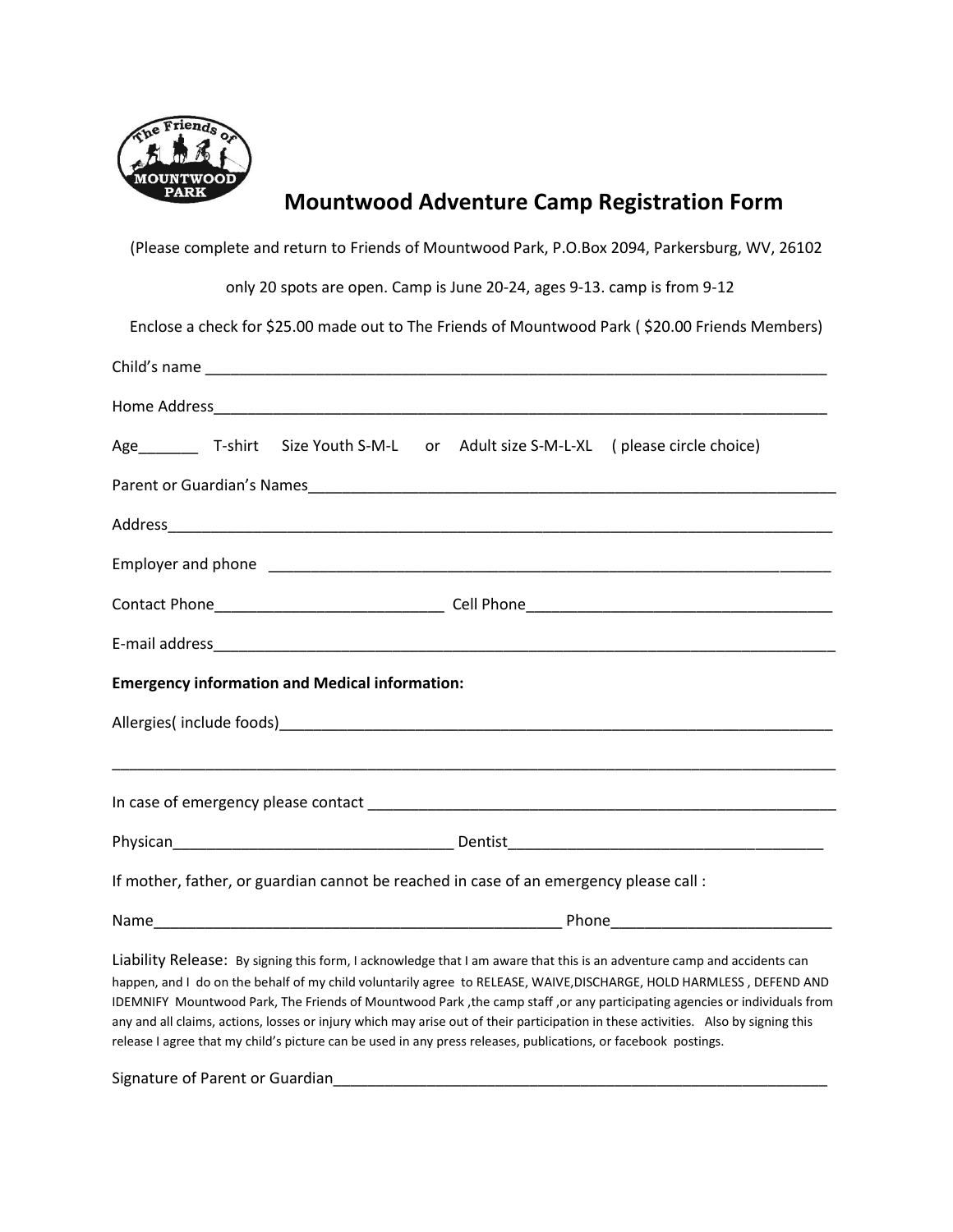

## **Mountwood Adventure Camp Registration Form**

(Please complete and return to Friends of Mountwood Park, P.O.Box 2094, Parkersburg, WV, 26102

only 20 spots are open. Camp is June 20-24, ages 9-13. camp is from 9-12

Enclose a check for \$25.00 made out to The Friends of Mountwood Park ( \$20.00 Friends Members)

| Age __________ T-shirt Size Youth S-M-L or Adult size S-M-L-XL (please circle choice)                                                                                                                                                                                                                                                                                                                                                                                                                              |
|--------------------------------------------------------------------------------------------------------------------------------------------------------------------------------------------------------------------------------------------------------------------------------------------------------------------------------------------------------------------------------------------------------------------------------------------------------------------------------------------------------------------|
|                                                                                                                                                                                                                                                                                                                                                                                                                                                                                                                    |
|                                                                                                                                                                                                                                                                                                                                                                                                                                                                                                                    |
|                                                                                                                                                                                                                                                                                                                                                                                                                                                                                                                    |
|                                                                                                                                                                                                                                                                                                                                                                                                                                                                                                                    |
|                                                                                                                                                                                                                                                                                                                                                                                                                                                                                                                    |
| <b>Emergency information and Medical information:</b>                                                                                                                                                                                                                                                                                                                                                                                                                                                              |
|                                                                                                                                                                                                                                                                                                                                                                                                                                                                                                                    |
|                                                                                                                                                                                                                                                                                                                                                                                                                                                                                                                    |
|                                                                                                                                                                                                                                                                                                                                                                                                                                                                                                                    |
|                                                                                                                                                                                                                                                                                                                                                                                                                                                                                                                    |
| If mother, father, or guardian cannot be reached in case of an emergency please call :                                                                                                                                                                                                                                                                                                                                                                                                                             |
|                                                                                                                                                                                                                                                                                                                                                                                                                                                                                                                    |
| Liability Release: By signing this form, I acknowledge that I am aware that this is an adventure camp and accidents can<br>happen, and I do on the behalf of my child voluntarily agree to RELEASE, WAIVE, DISCHARGE, HOLD HARMLESS, DEFEND AND<br>IDEMNIFY Mountwood Park, The Friends of Mountwood Park, the camp staff, or any participating agencies or individuals from<br>any and all claims, actions, losses or injury which may arise out of their participation in these activities. Also by signing this |

release I agree that my child's picture can be used in any press releases, publications, or facebook postings.

Signature of Parent or Guardian